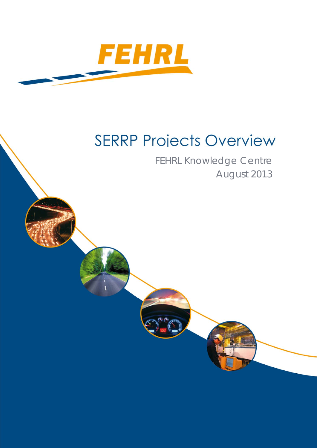

# **SERRP Projects Overview**

FEHRL Knowledge Centre August 2013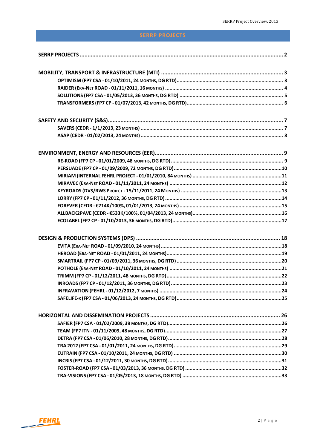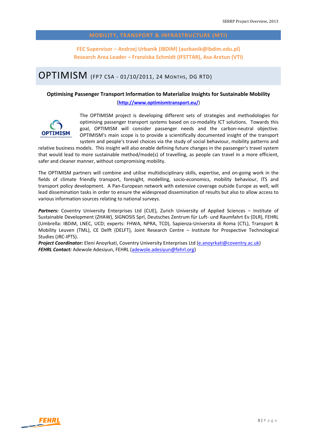**FEC Supervisor – Andrzej Urbanik (IBDiM) (aurbanik@ibdim.edu.pl) Research Area Leader – Franziska Schmidt (IFSTTAR), Asa Aretun (VTI)**

### OPTIMISM (FP7 CSA ‐ 01/10/2011, <sup>24</sup> MONTHS, DG RTD)

#### **Optimising Passenger Transport Information to Materialize Insights for Sustainable Mobility** (**http://www.optimismtransport.eu/**)



The OPTIMISM project is developing different sets of strategies and methodologies for optimising passenger transport systems based on co-modality ICT solutions. Towards this goal, OPTIMISM will consider passenger needs and the carbon‐neutral objective. OPTIMISM's main scope is to provide a scientifically documented insight of the transport system and people's travel choices via the study of social behaviour, mobility patterns and

relative business models. This insight will also enable defining future changes in the passenger's travel system that would lead to more sustainable method/mode(s) of travelling, as people can travel in a more efficient, safer and cleaner manner, without compromising mobility.

The OPTIMISM partners will combine and utilise multidisciplinary skills, expertise, and on‐going work in the fields of climate friendly transport, foresight, modelling, socio-economics, mobility behaviour, ITS and transport policy development. A Pan‐European network with extensive coverage outside Europe as well, will lead dissemination tasks in order to ensure the widespread dissemination of results but also to allow access to various information sources relating to national surveys.

Partners: Coventry University Enterprises Ltd (CUE), Zurich University of Applied Sciences - Institute of Sustainable Development (ZHAW), SIGNOSIS Sprl, Deutsches Zentrum für Luft‐ und Raumfahrt Ev (DLR), FEHRL (Umbrella: IBDiM, LNEC, UCD; experts: FHWA, NPRA, TCD), Sapienza‐Universita di Roma (CTL), Transport & Mobility Leuven (TML), CE Delft (DELFT), Joint Research Centre – Institute for Prospective Technological Studies (JRC‐IPTS).

*Project Coordinator:* Eleni Anoyrkati, Coventry University Enterprises Ltd (e.anoyrkati@coventry.ac.uk) *FEHRL Contact:* Adewole Adesiyun, FEHRL (adewole.adesiyun@fehrl.org)

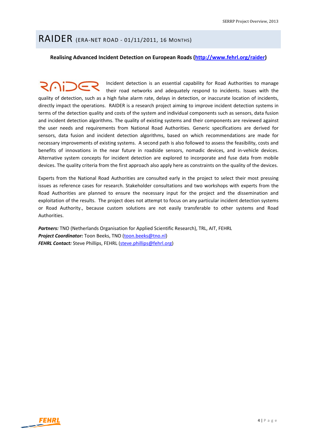### RAIDER (ERA‐NET ROAD ‐ 01/11/2011, <sup>16</sup> MONTHS)

**Realising Advanced Incident Detection on European Roads (http://www.fehrl.org/raider)** 

Incident detection is an essential capability for Road Authorities to manage their road networks and adequately respond to incidents. Issues with the quality of detection, such as a high false alarm rate, delays in detection, or inaccurate location of incidents, directly impact the operations. RAIDER is a research project aiming to improve incident detection systems in terms of the detection quality and costs of the system and individual components such as sensors, data fusion and incident detection algorithms. The quality of existing systems and their components are reviewed against the user needs and requirements from National Road Authorities. Generic specifications are derived for sensors, data fusion and incident detection algorithms, based on which recommendations are made for necessary improvements of existing systems. A second path is also followed to assess the feasibility, costs and benefits of innovations in the near future in roadside sensors, nomadic devices, and in‐vehicle devices. Alternative system concepts for incident detection are explored to incorporate and fuse data from mobile devices. The quality criteria from the first approach also apply here as constraints on the quality of the devices.

Experts from the National Road Authorities are consulted early in the project to select their most pressing issues as reference cases for research. Stakeholder consultations and two workshops with experts from the Road Authorities are planned to ensure the necessary input for the project and the dissemination and exploitation of the results. The project does not attempt to focus on any particular incident detection systems or Road Authority., because custom solutions are not easily transferable to other systems and Road Authorities.

*Partners:* TNO (Netherlands Organisation for Applied Scientific Research), TRL, AIT, FEHRL *Project Coordinator:* Toon Beeks, TNO (toon.beeks@tno.nl) *FEHRL Contact:* Steve Phillips, FEHRL (steve.phillips@fehrl.org)

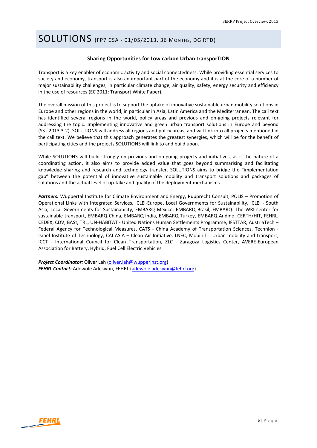# SOLUTIONS (FP7 CSA ‐ 01/05/2013, <sup>36</sup> MONTHS, DG RTD)

#### **Sharing Opportunities for Low carbon Urban transporTION**

Transport is a key enabler of economic activity and social connectedness. While providing essential services to society and economy, transport is also an important part of the economy and it is at the core of a number of major sustainability challenges, in particular climate change, air quality, safety, energy security and efficiency in the use of resources (EC 2011: Transport White Paper).

The overall mission of this project is to support the uptake of innovative sustainable urban mobility solutions in Europe and other regions in the world, in particular in Asia, Latin America and the Mediterranean. The call text has identified several regions in the world, policy areas and previous and on-going projects relevant for addressing the topic: Implementing innovative and green urban transport solutions in Europe and beyond (SST.2013.3‐2). SOLUTIONS will address all regions and policy areas, and will link into all projects mentioned in the call text. We believe that this approach generates the greatest synergies, which will be for the benefit of participating cities and the projects SOLUTIONS will link to and build upon.

While SOLUTIONS will build strongly on previous and on-going projects and initiatives, as is the nature of a coordinating action, it also aims to provide added value that goes beyond summarising and facilitating knowledge sharing and research and technology transfer. SOLUTIONS aims to bridge the "implementation gap" between the potential of innovative sustainable mobility and transport solutions and packages of solutions and the actual level of up-take and quality of the deployment mechanisms.

*Partners:* Wuppertal Institute for Climate Environment and Energy, Rupprecht Consult, POLIS – Promotion of Operational Links with Integrated Services, ICLEI‐Europe, Local Governments for Sustainability, ICLEI ‐ South Asia, Local Governments for Sustainability, EMBARQ Mexico, EMBARQ Brasil, EMBARQ: The WRI center for sustainable transport, EMBARQ China, EMBARQ India, EMBARQ Turkey, EMBARQ Andino, CERTH/HIT, FEHRL, CEDEX, CDV, BASt, TRL, UN‐HABITAT ‐ United Nations Human Settlements Programme, IFSTTAR, AustriaTech – Federal Agency for Technological Measures, CATS - China Academy of Transportation Sciences, Technion -Israel Institute of Technology, CAI‐ASIA – Clean Air Initiative, LNEC, Mobili‐T ‐ Urban mobility and transport, ICCT - International Council for Clean Transportation, ZLC - Zaragoza Logistics Center, AVERE-European Association for Battery, Hybrid, Fuel Cell Electric Vehicles

*Project Coordinator:* Oliver Lah (oliver.lah@wupperinst.org) *FEHRL Contact:* Adewole Adesiyun, FEHRL (adewole.adesiyun@fehrl.org)

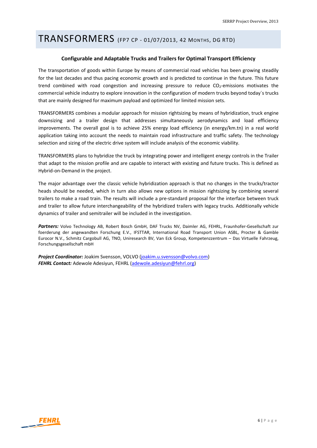### TRANSFORMERS (FP7 CP ‐ 01/07/2013, <sup>42</sup> MONTHS, DG RTD)

#### **Configurable and Adaptable Trucks and Trailers for Optimal Transport Efficiency**

The transportation of goods within Europe by means of commercial road vehicles has been growing steadily for the last decades and thus pacing economic growth and is predicted to continue in the future. This future trend combined with road congestion and increasing pressure to reduce  $CO_2$ -emissions motivates the commercial vehicle industry to explore innovation in the configuration of modern trucks beyond today´s trucks that are mainly designed for maximum payload and optimized for limited mission sets.

TRANSFORMERS combines a modular approach for mission rightsizing by means of hybridization, truck engine downsizing and a trailer design that addresses simultaneously aerodynamics and load efficiency improvements. The overall goal is to achieve 25% energy load efficiency (in energy/km.tn) in a real world application taking into account the needs to maintain road infrastructure and traffic safety. The technology selection and sizing of the electric drive system will include analysis of the economic viability.

TRANSFORMERS plans to hybridize the truck by integrating power and intelligent energy controls in the Trailer that adapt to the mission profile and are capable to interact with existing and future trucks. This is defined as Hybrid‐on‐Demand in the project.

The major advantage over the classic vehicle hybridization approach is that no changes in the trucks/tractor heads should be needed, which in turn also allows new options in mission rightsizing by combining several trailers to make a road train. The results will include a pre‐standard proposal for the interface between truck and trailer to allow future interchangeability of the hybridized trailers with legacy trucks. Additionally vehicle dynamics of trailer and semitrailer will be included in the investigation.

*Partners:* Volvo Technology AB, Robert Bosch GmbH, DAF Trucks NV, Daimler AG, FEHRL, Fraunhofer‐Gesellschaft zur foerderung der angewandten Forschung E.V., IFSTTAR, International Road Transport Union ASBL, Procter & Gamble Eurocor N.V., Schmitz Cargobull AG, TNO, Uniresearch BV, Van Eck Group, Kompetenzzentrum – Das Virtuelle Fahrzeug, Forschungsgesellschaft mbH

*Project Coordinator:* Joakim Svensson, VOLVO (joakim.u.svensson@volvo.com) *FEHRL Contact:* Adewole Adesiyun, FEHRL (adewole.adesiyun@fehrl.org)

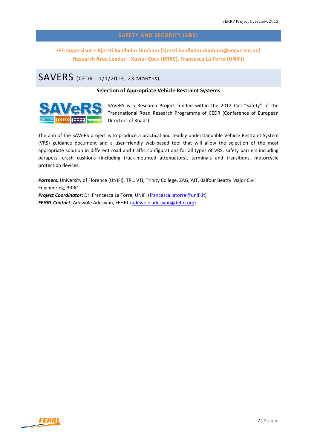**FEC Supervisor – Kjersti Kvalheim Dunham (kjersti.kvalheim.dunham@vegvesen.no) Research Area Leader – Xavier Cocu (BRRC), Francesca La Torre (UNIFI)**

### SAVERS (CEDR ‐ 1/1/2013, <sup>23</sup> MONTHS)

#### **Selection of Appropriate Vehicle Restraint Systems**



SAVeRS is a Research Project funded within the 2012 Call "Safety" of the Transnational Road Research Programme of CEDR (Conference of European Directors of Roads).

The aim of the SAVeRS project is to produce a practical and readily understandable Vehicle Restraint System (VRS) guidance document and a user‐friendly web‐based tool that will allow the selection of the most appropriate solution in different road and traffic configurations for all types of VRS: safety barriers including parapets, crash cushions (including truck‐mounted attenuators), terminals and transitions, motorcycle protection devices.

Partners: University of Florence (UNIFI), TRL, VTI, Trinity College, ZAG, AIT, Balfour Beatty Major Civil Engineering, BRRC.

*Project Coordinator***:** Dr. Francesca La Torre, UNIFI (francesca.latorre@unifi.it) *FEHRL Contact:* Adewole Adesiyun, FEHRL (adewole.adesiyun@fehrl.org)

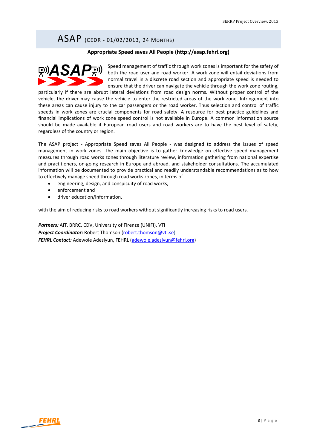### ASAP (CEDR ‐ 01/02/2013, <sup>24</sup> MONTHS)

#### **Appropriate Speed saves All People (http://asap.fehrl.org)**



Speed management of traffic through work zones is important for the safety of both the road user and road worker. A work zone will entail deviations from normal travel in a discrete road section and appropriate speed is needed to ensure that the driver can navigate the vehicle through the work zone routing,

particularly if there are abrupt lateral deviations from road design norms. Without proper control of the vehicle, the driver may cause the vehicle to enter the restricted areas of the work zone. Infringement into these areas can cause injury to the car passengers or the road worker. Thus selection and control of traffic speeds in work zones are crucial components for road safety. A resource for best practice guidelines and financial implications of work zone speed control is not available in Europe. A common information source should be made available if European road users and road workers are to have the best level of safety, regardless of the country or region.

The ASAP project - Appropriate Speed saves All People - was designed to address the issues of speed management in work zones. The main objective is to gather knowledge on effective speed management measures through road works zones through literature review, information gathering from national expertise and practitioners, on‐going research in Europe and abroad, and stakeholder consultations. The accumulated information will be documented to provide practical and readily understandable recommendations as to how to effectively manage speed through road works zones, in terms of

- engineering, design, and conspicuity of road works,
- enforcement and
- driver education/information,

with the aim of reducing risks to road workers without significantly increasing risks to road users.

*Partners:* AIT, BRRC, CDV, University of Firenze (UNIFI), VTI *Project Coordinator:* Robert Thomson (robert.thomson@vti.se) *FEHRL Contact:* Adewole Adesiyun, FEHRL (adewole.adesiyun@fehrl.org)

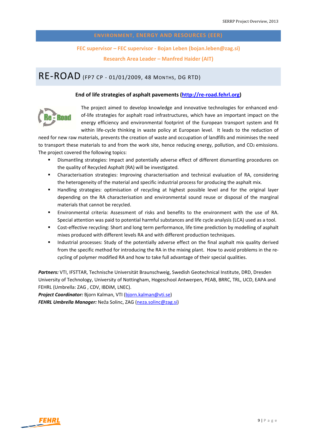#### **FEC supervisor – FEC supervisor ‐ Bojan Leben (bojan.leben@zag.si)**

**Research Area Leader – Manfred Haider (AIT)**

### RE‐ROAD (FP7 CP ‐ 01/01/2009, <sup>48</sup> MONTHS, DG RTD)

#### **End of life strategies of asphalt pavements (http://re‐road.fehrl.org)**



The project aimed to develop knowledge and innovative technologies for enhanced end‐ of‐life strategies for asphalt road infrastructures, which have an important impact on the energy efficiency and environmental footprint of the European transport system and fit within life-cycle thinking in waste policy at European level. It leads to the reduction of

need for new raw materials, prevents the creation of waste and occupation of landfills and minimises the need to transport these materials to and from the work site, hence reducing energy, pollution, and CO<sub>2</sub> emissions. The project covered the following topics:

- Dismantling strategies: Impact and potentially adverse effect of different dismantling procedures on the quality of Recycled Asphalt (RA) will be investigated.
- Characterisation strategies: Improving characterisation and technical evaluation of RA, considering the heterogeneity of the material and specific industrial process for producing the asphalt mix.
- Handling strategies: optimisation of recycling at highest possible level and for the original layer depending on the RA characterisation and environmental sound reuse or disposal of the marginal materials that cannot be recycled.
- Environmental criteria: Assessment of risks and benefits to the environment with the use of RA. Special attention was paid to potential harmful substances and life cycle analysis (LCA) used as a tool.
- Cost-effective recycling: Short and long term performance, life time prediction by modelling of asphalt mixes produced with different levels RA and with different production techniques.
- **Industrial processes: Study of the potentially adverse effect on the final asphalt mix quality derived** from the specific method for introducing the RA in the mixing plant. How to avoid problems in the recycling of polymer modified RA and how to take full advantage of their special qualities.

*Partners:* VTI, IFSTTAR, Technische Universität Braunschweig, Swedish Geotechnical Institute, DRD, Dresden University of Technology, University of Nottingham, Hogeschool Antwerpen, PEAB, BRRC, TRL, UCD, EAPA and FEHRL (Umbrella: ZAG , CDV, IBDiM, LNEC).

*Project Coordinator:* Bjorn Kalman, VTI (bjorn.kalman@vti.se) *FEHRL Umbrella Manager:* Neža Solinc, ZAG (neza.solinc@zag.si)

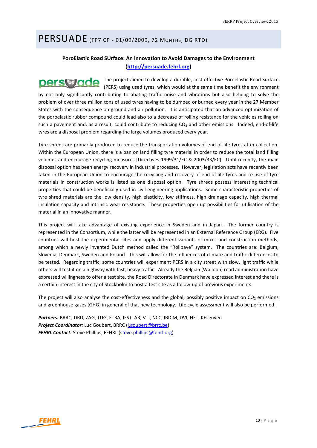### PERSUADE (FP7 CP ‐ 01/09/2009, <sup>72</sup> MONTHS, DG RTD)

### **PoroElastic Road SUrface: An innovation to Avoid Damages to the Environment (http://persuade.fehrl.org)**

The project aimed to develop a durable, cost-effective Poroelastic Road Surface perswade (PERS) using used tyres, which would at the same time benefit the environment by not only significantly contributing to abating traffic noise and vibrations but also helping to solve the problem of over three million tons of used tyres having to be dumped or burned every year in the 27 Member States with the consequence on ground and air pollution. It is anticipated that an advanced optimization of the poroelastic rubber compound could lead also to a decrease of rolling resistance for the vehicles rolling on such a pavement and, as a result, could contribute to reducing CO<sub>2</sub> and other emissions. Indeed, end-of-life tyres are a disposal problem regarding the large volumes produced every year.

Tyre shreds are primarily produced to reduce the transportation volumes of end‐of‐life tyres after collection. Within the European Union, there is a ban on land filling tyre material in order to reduce the total land filling volumes and encourage recycling measures [Directives 1999/31/EC & 2003/33/EC]. Until recently, the main disposal option has been energy recovery in industrial processes. However, legislation acts have recently been taken in the European Union to encourage the recycling and recovery of end‐of‐life‐tyres and re‐use of tyre materials in construction works is listed as one disposal option. Tyre shreds possess interesting technical properties that could be beneficially used in civil engineering applications. Some characteristic properties of tyre shred materials are the low density, high elasticity, low stiffness, high drainage capacity, high thermal insulation capacity and intrinsic wear resistance. These properties open up possibilities for utilisation of the material in an innovative manner.

This project will take advantage of existing experience in Sweden and in Japan. The former country is represented in the Consortium, while the latter will be represented in an External Reference Group (ERG). Five countries will host the experimental sites and apply different variants of mixes and construction methods, among which a newly invented Dutch method called the "Rollpave" system. The countries are: Belgium, Slovenia, Denmark, Sweden and Poland. This will allow for the influences of climate and traffic differences to be tested. Regarding traffic, some countries will experiment PERS in a city street with slow, light traffic while others will test it on a highway with fast, heavy traffic. Already the Belgian (Walloon) road administration have expressed willingness to offer a test site, the Road Directorate in Denmark have expressed interest and there is a certain interest in the city of Stockholm to host a test site as a follow‐up of previous experiments.

The project will also analyse the cost-effectiveness and the global, possibly positive impact on  $CO<sub>2</sub>$  emissions and greenhouse gases (GHG) in general of that new technology. Life cycle assessment will also be performed.

*Partners:* BRRC, DRD, ZAG, TUG, ETRA, IFSTTAR, VTI, NCC, IBDiM, DVI, HET, KELeuven *Project Coordinator:* Luc Goubert, BRRC (l.goubert@brrc.be) *FEHRL Contact:* Steve Phillips, FEHRL (steve.phillips@fehrl.org)

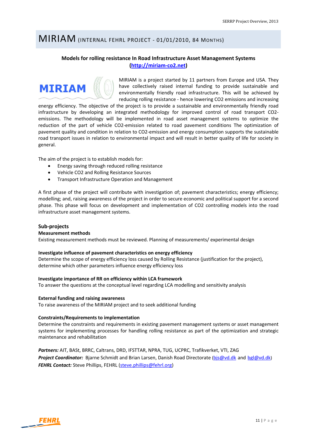### MIRIAM (INTERNAL FEHRL PROJECT ‐ 01/01/2010, <sup>84</sup> MONTHS)

### **Models for rolling resistance In Road Infrastructure Asset Management Systems (http://miriam‐co2.net)**



MIRIAM is a project started by 11 partners from Europe and USA. They have collectively raised internal funding to provide sustainable and environmentally friendly road infrastructure. This will be achieved by reducing rolling resistance ‐ hence lowering CO2 emissions and increasing

energy efficiency. The objective of the project is to provide a sustainable and environmentally friendly road infrastructure by developing an integrated methodology for improved control of road transport CO2‐ emissions. The methodology will be implemented in road asset management systems to optimize the reduction of the part of vehicle CO2-emission related to road pavement conditions The optimization of pavement quality and condition in relation to CO2‐emission and energy consumption supports the sustainable road transport issues in relation to environmental impact and will result in better quality of life for society in general.

The aim of the project is to establish models for:

- Energy saving through reduced rolling resistance
- Vehicle CO2 and Rolling Resistance Sources
- Transport Infrastructure Operation and Management

A first phase of the project will contribute with investigation of; pavement characteristics; energy efficiency; modelling; and, raising awareness of the project in order to secure economic and political support for a second phase. This phase will focus on development and implementation of CO2 controlling models into the road infrastructure asset management systems.

#### **Sub‐projects**

#### **Measurement methods**

Existing measurement methods must be reviewed. Planning of measurements/ experimental design

#### **Investigate influence of pavement characteristics on energy efficiency**

Determine the scope of energy efficiency loss caused by Rolling Resistance (justification for the project), determine which other parameters influence energy efficiency loss

#### **Investigate importance of RR on efficiency within LCA framework**

To answer the questions at the conceptual level regarding LCA modelling and sensitivity analysis

#### **External funding and raising awareness**

To raise awareness of the MIRIAM project and to seek additional funding

#### **Constraints/Requirements to implementation**

Determine the constraints and requirements in existing pavement management systems or asset management systems for implementing processes for handling rolling resistance as part of the optimization and strategic maintenance and rehabilitation

*Partners:* AIT, BASt, BRRC, Caltrans, DRD, IFSTTAR, NPRA, TUG, UCPRC, Trafikverket, VTI, ZAG **Project Coordinator:** Bjarne Schmidt and Brian Larsen, Danish Road Directorate (bjs@vd.dk and bgl@vd.dk) *FEHRL Contact:* Steve Phillips, FEHRL (steve.phillips@fehrl.org)

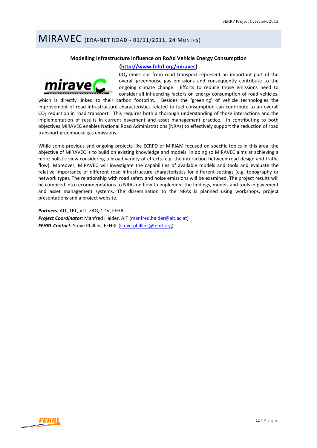### MIRAVEC (ERA‐NET ROAD ‐ 01/11/2011, <sup>24</sup> MONTHS)

#### **Modelling Infrastructure influence on RoAd Vehicle Energy Consumption**

#### **(http://www.fehrl.org/miravec)**



 $CO<sub>2</sub>$  emissions from road transport represent an important part of the overall greenhouse gas emissions and consequently contribute to the ongoing climate change. Efforts to reduce those emissions need to consider all influencing factors on energy consumption of road vehicles,

which is directly linked to their carbon footprint. Besides the 'greening' of vehicle technologies the improvement of road infrastructure characteristics related to fuel consumption can contribute to an overall  $CO<sub>2</sub>$  reduction in road transport. This requires both a thorough understanding of those interactions and the implementation of results in current pavement and asset management practice. In contributing to both objectives MIRAVEC enables National Road Administrations (NRAs) to effectively support the reduction of road transport greenhouse gas emissions.

While some previous and ongoing projects like ECRPD or MIRIAM focused on specific topics in this area, the objective of MIRAVEC is to build on existing knowledge and models. In doing so MIRAVEC aims at achieving a more holistic view considering a broad variety of effects (e.g. the interaction between road design and traffic flow). Moreover, MIRAVEC will investigate the capabilities of available models and tools and evaluate the relative importance of different road infrastructure characteristics for different settings (e.g. topography or network type). The relationship with road safety and noise emissions will be examined. The project results will be compiled into recommendations to NRAs on how to implement the findings, models and tools in pavement and asset management systems. The dissemination to the NRAs is planned using workshops, project presentations and a project website.

*Partners:* AIT, TRL, VTI, ZAG, CDV, FEHRL *Project Coordinator:* Manfred Haider, AIT (manfred.haider@ait.ac.at) *FEHRL Contact:* Steve Phillips, FEHRL (steve.phillips@fehrl.org)

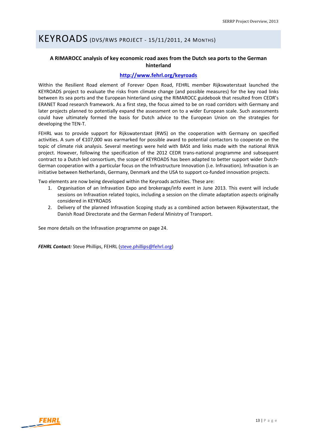# KEYROADS (DVS/RWS PROJECT ‐ 15/11/2011, <sup>24</sup> MONTHS)

### **A RIMAROCC analysis of key economic road axes from the Dutch sea ports to the German hinterland**

#### **http://www.fehrl.org/keyroads**

Within the Resilient Road element of Forever Open Road, FEHRL member Rijkswaterstaat launched the KEYROADS project to evaluate the risks from climate change (and possible measures) for the key road links between its sea ports and the European hinterland using the RIMAROCC guidebook that resulted from CEDR's ERANET Road research framework. As a first step, the focus aimed to be on road corridors with Germany and later projects planned to potentially expand the assessment on to a wider European scale. Such assessments could have ultimately formed the basis for Dutch advice to the European Union on the strategies for developing the TEN‐T.

FEHRL was to provide support for Rijkswaterstaat (RWS) on the cooperation with Germany on specified activities. A sum of €107,000 was earmarked for possible award to potential contactors to cooperate on the topic of climate risk analysis. Several meetings were held with BASt and links made with the national RIVA project. However, following the specification of the 2012 CEDR trans-national programme and subsequent contract to a Dutch led consortium, the scope of KEYROADS has been adapted to better support wider Dutch‐ German cooperation with a particular focus on the Infrastructure Innovation (i.e. Infravation). Infravation is an initiative between Netherlands, Germany, Denmark and the USA to support co-funded innovation projects.

Two elements are now being developed within the Keyroads activities. These are:

- 1. Organisation of an Infravation Expo and brokerage/info event in June 2013. This event will include sessions on Infravation related topics, including a session on the climate adaptation aspects originally considered in KEYROADS
- 2. Delivery of the planned Infravation Scoping study as a combined action between Rijkwaterstaat, the Danish Road Directorate and the German Federal Ministry of Transport.

See more details on the Infravation programme on page 24.

*FEHRL Contact:* Steve Phillips, FEHRL (steve.phillips@fehrl.org)

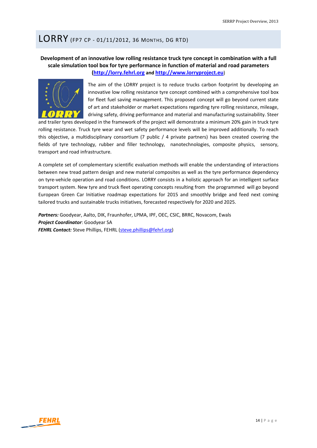### LORRY (FP7 CP ‐ 01/11/2012, <sup>36</sup> MONTHS, DG RTD)

### **Development of an innovative low rolling resistance truck tyre concept in combination with a full scale simulation tool box for tyre performance in function of material and road parameters (http://lorry.fehrl.org and http://www.lorryproject.eu**)



The aim of the LORRY project is to reduce trucks carbon footprint by developing an innovative low rolling resistance tyre concept combined with a comprehensive tool box for fleet fuel saving management. This proposed concept will go beyond current state of art and stakeholder or market expectations regarding tyre rolling resistance, mileage, driving safety, driving performance and material and manufacturing sustainability. Steer

and trailer tyres developed in the framework of the project will demonstrate a minimum 20% gain in truck tyre rolling resistance. Truck tyre wear and wet safety performance levels will be improved additionally. To reach this objective, a multidisciplinary consortium (7 public / 4 private partners) has been created covering the fields of tyre technology, rubber and filler technology, nanotechnologies, composite physics, sensory, transport and road infrastructure.

A complete set of complementary scientific evaluation methods will enable the understanding of interactions between new tread pattern design and new material composites as well as the tyre performance dependency on tyre‐vehicle operation and road conditions. LORRY consists in a holistic approach for an intelligent surface transport system. New tyre and truck fleet operating concepts resulting from the programmed will go beyond European Green Car Initiative roadmap expectations for 2015 and smoothly bridge and feed next coming tailored trucks and sustainable trucks initiatives, forecasted respectively for 2020 and 2025.

*Partners:* Goodyear, Aalto, DIK, Fraunhofer, LPMA, IPF, OEC, CSIC, BRRC, Novacom, Ewals *Project Coordinator*: Goodyear SA *FEHRL Contact:* Steve Phillips, FEHRL (steve.phillips@fehrl.org)

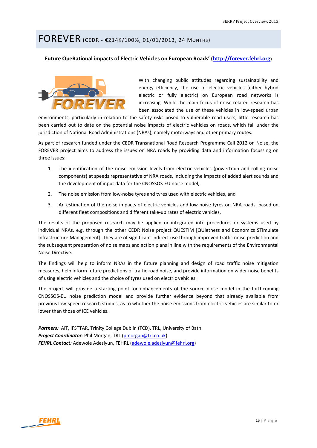### FOREVER (CEDR ‐ €214K/100%, 01/01/2013, <sup>24</sup> MONTHS)

#### **Future OpeRational impacts of Electric Vehicles on European Roads' (http://forever.fehrl.org)**



With changing public attitudes regarding sustainability and energy efficiency, the use of electric vehicles (either hybrid electric or fully electric) on European road networks is increasing. While the main focus of noise-related research has been associated the use of these vehicles in low-speed urban

environments, particularly in relation to the safety risks posed to vulnerable road users, little research has been carried out to date on the potential noise impacts of electric vehicles on roads, which fall under the jurisdiction of National Road Administrations (NRAs), namely motorways and other primary routes.

As part of research funded under the CEDR Transnational Road Research Programme Call 2012 on Noise, the FOREVER project aims to address the issues on NRA roads by providing data and information focussing on three issues:

- 1. The identification of the noise emission levels from electric vehicles (powertrain and rolling noise components) at speeds representative of NRA roads, including the impacts of added alert sounds and the development of input data for the CNOSSOS‐EU noise model,
- 2. The noise emission from low-noise tyres and tyres used with electric vehicles, and
- 3. An estimation of the noise impacts of electric vehicles and low‐noise tyres on NRA roads, based on different fleet compositions and different take‐up rates of electric vehicles.

The results of the proposed research may be applied or integrated into procedures or systems used by individual NRAs, e.g. through the other CEDR Noise project QUESTIM [QUietness and Economics STimulate Infrastructure Management]. They are of significant indirect use through improved traffic noise prediction and the subsequent preparation of noise maps and action plans in line with the requirements of the Environmental Noise Directive.

The findings will help to inform NRAs in the future planning and design of road traffic noise mitigation measures, help inform future predictions of traffic road noise, and provide information on wider noise benefits of using electric vehicles and the choice of tyres used on electric vehicles.

The project will provide a starting point for enhancements of the source noise model in the forthcoming CNOSSOS‐EU noise prediction model and provide further evidence beyond that already available from previous low‐speed research studies, as to whether the noise emissions from electric vehicles are similar to or lower than those of ICE vehicles.

Partners: AIT, IFSTTAR, Trinity College Dublin (TCD), TRL, University of Bath *Project Coordinator*: Phil Morgan, TRL (pmorgan@trl.co.uk) *FEHRL Contact:* Adewole Adesiyun, FEHRL (adewole.adesiyun@fehrl.org)

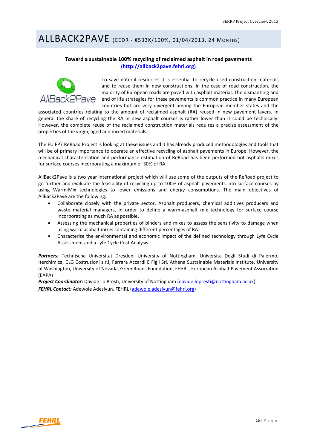### ALLBACK2PAVE (CEDR ‐ €533K/100%, 01/04/2013, <sup>24</sup> MONTHS)

#### **Toward a sustainable 100% recycling of reclaimed asphalt in road pavements (http://allback2pave.fehrl.org)**



To save natural resources it is essential to recycle used construction materials and to reuse them in new constructions. In the case of road construction, the majority of European roads are paved with asphalt material. The dismantling and end of life strategies for these pavements is common practice in many European countries but are very divergent among the European member states and the

associated countries relating to the amount of reclaimed asphalt (RA) reused in new pavement layers. In general the share of recycling the RA in new asphalt courses is rather lower than it could be technically. However, the complete reuse of the reclaimed construction materials requires a precise assessment of the properties of the virgin, aged and mixed materials.

The EU FP7 ReRoad Project is looking at these issues and it has already produced methodologies and tools that will be of primary importance to operate an effective recycling of asphalt pavements in Europe. However, the mechanical characterisation and performance estimation of ReRoad has been performed hot asphalts mixes for surface courses incorporating a maximum of 30% of RA.

AllBack2Pave is a two year international project which will use some of the outputs of the ReRoad project to go further and evaluate the feasibility of recycling up to 100% of asphalt pavements into surface courses by using Warm‐Mix technologies to lower emissions and energy consumptions. The main objectives of AllBack2Pave are the following:

- Collaborate closely with the private sector, Asphalt producers, chemical additives producers and waste material managers, in order to define a warm-asphalt mix technology for surface course incorporating as much RA as possible.
- Assessing the mechanical properties of binders and mixes to assess the sensitivity to damage when using warm asphalt mixes containing different percentages of RA.
- Characterise the environmental and economic impact of the defined technology through Lyfe Cycle Assessment and a Lyfe Cycle Cost Analysis.

Partners: Technische Universitat Dresden, University of Nottingham, Universita Degli Studi di Palermo, Iterchimica, CLG Costruzioni s.r.l, Ferrara Accardi E Figli Srl, Athena Sustainable Materials Institute, University of Washington, University of Nevada, GreenRoads Foundation, FEHRL, European Asphalt Pavement Association (EAPA)

*Project Coordinator:* Davide Lo Presti, University of Nottingham (davide.lopresti@nottingham.ac.uk) *FEHRL Contact:* Adewole Adesiyun, FEHRL (adewole.adesiyun@fehrl.org)

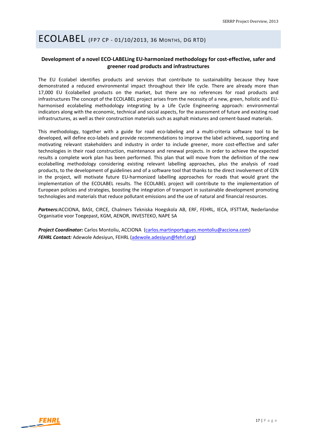# ECOLABEL (FP7 CP ‐ 01/10/2013, <sup>36</sup> MONTHS, DG RTD)

#### **Development of a novel ECO‐LABELing EU‐harmonized methodology for cost‐effective, safer and greener road products and infrastructures**

The EU Ecolabel identifies products and services that contribute to sustainability because they have demonstrated a reduced environmental impact throughout their life cycle. There are already more than 17,000 EU Ecolabelled products on the market, but there are no references for road products and infrastructures The concept of the ECOLABEL project arises from the necessity of a new, green, holistic and EU‐ harmonised ecolabeling methodology integrating by a Life Cycle Engineering approach: environmental indicators along with the economic, technical and social aspects, for the assessment of future and existing road infrastructures, as well as their construction materials such as asphalt mixtures and cement‐based materials.

This methodology, together with a guide for road eco-labeling and a multi-criteria software tool to be developed, will define eco-labels and provide recommendations to improve the label achieved, supporting and motivating relevant stakeholders and industry in order to include greener, more cost-effective and safer technologies in their road construction, maintenance and renewal projects. In order to achieve the expected results a complete work plan has been performed. This plan that will move from the definition of the new ecolabelling methodology considering existing relevant labelling approaches, plus the analysis of road products, to the development of guidelines and of a software tool that thanks to the direct involvement of CEN in the project, will motivate future EU-harmonized labelling approaches for roads that would grant the implementation of the ECOLABEL results. The ECOLABEL project will contribute to the implementation of European policies and strategies, boosting the integration of transport in sustainable development promoting technologies and materials that reduce pollutant emissions and the use of natural and financial resources.

*Partners:*ACCIONA, BASt, CIRCE, Chalmers Tekniska Hoegskola AB, ERF, FEHRL, IECA, IFSTTAR, Nederlandse Organisatie voor Toegepast, KGM, AENOR, INVESTEKO, NAPE SA

*Project Coordinator:* Carlos Montoliu, ACCIONA (carlos.martinportugues.montoliu@acciona.com) *FEHRL Contact:* Adewole Adesiyun, FEHRL (adewole.adesiyun@fehrl.org)

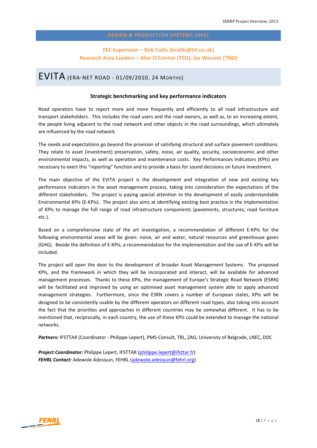### **FEC Supervisor – Bob Collis (bcollis@trl.co.uk) Research Area Leaders – Alan O'Connor (TCD), Jos Wessels (TNO)**

### EVITA (ERA‐NET ROAD ‐ 01/09/2010, <sup>24</sup> MONTHS)

#### **Strategic benchmarking and key performance indicators**

Road operators have to report more and more frequently and efficiently to all road infrastructure and transport stakeholders. This includes the road users and the road owners, as well as, to an increasing extent, the people living adjacent to the road network and other objects in the road surroundings, which ultimately are influenced by the road network.

The needs and expectations go beyond the provision of satisfying structural and surface pavement conditions. They relate to asset (investment) preservation, safety, noise, air quality, security, socioeconomic and other environmental impacts, as well as operation and maintenance costs. Key Performances Indicators (KPIs) are necessary to exert this "reporting" function and to provide a basis for sound decisions on future investment.

The main objective of the EVITA project is the development and integration of new and existing key performance indicators in the asset management process, taking into consideration the expectations of the different stakeholders. The project is paying special attention to the development of easily understandable Environmental KPIs (E‐KPIs). The project also aims at identifying existing best practice in the implementation of KPIs to manage the full range of road infrastructure components (pavements, structures, road furniture etc.).

Based on a comprehensive state of the art investigation, a recommendation of different E‐KPIs for the following environmental areas will be given: noise, air and water, natural resources and greenhouse gases (GHG). Beside the definition of E‐KPIs, a recommendation for the implementation and the use of E‐KPIs will be included.

The project will open the door to the development of broader Asset Management Systems. The proposed KPIs, and the framework in which they will be incorporated and interact, will be available for advanced management processes. Thanks to these KPIs, the management of Europe's Strategic Road Network (ESRN) will be facilitated and improved by using an optimised asset management system able to apply advanced management strategies. Furthermore, since the ESRN covers a number of European states, KPIs will be designed to be consistently usable by the different operators on different road types, also taking into account the fact that the priorities and approaches in different countries may be somewhat different. It has to be mentioned that, reciprocally, in each country, the use of these KPIs could be extended to manage the national networks.

*Partners:* IFSTTAR (Coordinator ‐ Philippe Lepert), PMS‐Consult, TRL, ZAG, University of Belgrade, LNEC, DDC

*Project Coordinator:* Philippe Lepert, IFSTTAR (philippe.lepert@ifsttar.fr) *FEHRL Contact:* Adewole Adesiyun, FEHRL (adewole.adesiyun@fehrl.org)

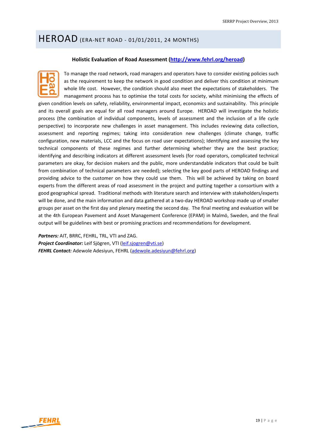# HEROAD (ERA‐NET ROAD ‐ 01/01/2011, <sup>24</sup> MONTHS)

#### **Holistic Evaluation of Road Assessment (http://www.fehrl.org/heroad)**



To manage the road network, road managers and operators have to consider existing policies such as the requirement to keep the network in good condition and deliver this condition at minimum whole life cost. However, the condition should also meet the expectations of stakeholders. The management process has to optimise the total costs for society, whilst minimising the effects of

given condition levels on safety, reliability, environmental impact, economics and sustainability. This principle and its overall goals are equal for all road managers around Europe. HEROAD will investigate the holistic process (the combination of individual components, levels of assessment and the inclusion of a life cycle perspective) to incorporate new challenges in asset management. This includes reviewing data collection, assessment and reporting regimes; taking into consideration new challenges (climate change, traffic configuration, new materials, LCC and the focus on road user expectations); Identifying and assessing the key technical components of these regimes and further determining whether they are the best practice; identifying and describing indicators at different assessment levels (for road operators, complicated technical parameters are okay, for decision makers and the public, more understandable indicators that could be built from combination of technical parameters are needed); selecting the key good parts of HEROAD findings and providing advice to the customer on how they could use them. This will be achieved by taking on board experts from the different areas of road assessment in the project and putting together a consortium with a good geographical spread. Traditional methods with literature search and interview with stakeholders/experts will be done, and the main information and data gathered at a two-day HEROAD workshop made up of smaller groups per asset on the first day and plenary meeting the second day. The final meeting and evaluation will be at the 4th European Pavement and Asset Management Conference (EPAM) in Malmö, Sweden, and the final output will be guidelines with best or promising practices and recommendations for development.

*Partners:* AIT, BRRC, FEHRL, TRL, VTI and ZAG. *Project Coordinator:* Leif Sjögren, VTI (leif.sjogren@vti.se) *FEHRL Contact:* Adewole Adesiyun, FEHRL (adewole.adesiyun@fehrl.org)

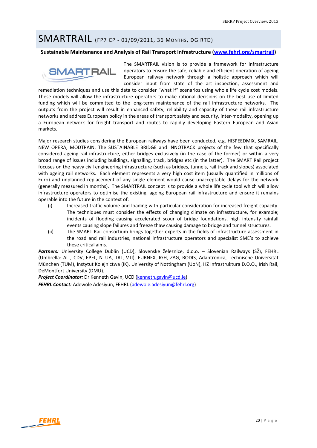### SMARTRAIL (FP7 CP ‐ 01/09/2011, <sup>36</sup> MONTHS, DG RTD)

#### **Sustainable Maintenance and Analysis of Rail Transport Infrastructure (www.fehrl.org/smartrail)**



The SMARTRAIL vision is to provide a framework for infrastructure operators to ensure the safe, reliable and efficient operation of ageing European railway network through a holistic approach which will consider input from state of the art inspection, assessment and

remediation techniques and use this data to consider "what if" scenarios using whole life cycle cost models. These models will allow the infrastructure operators to make rational decisions on the best use of limited funding which will be committed to the long-term maintenance of the rail infrastructure networks. The outputs from the project will result in enhanced safety, reliability and capacity of these rail infrastructure networks and address European policy in the areas of transport safety and security, inter-modality, opening up a European network for freight transport and routes to rapidly developing Eastern European and Asian markets.

Major research studies considering the European railways have been conducted, e.g. HISPEEDMIX, SAMRAIL, NEW OPERA, MODTRAIN. The SUSTAINABLE BRIDGE and INNOTRACK projects of the few that specifically considered ageing rail infrastructure, either bridges exclusively (in the case of the former) or within a very broad range of issues including buildings, signalling, track, bridges etc (in the latter). The SMART Rail project focuses on the heavy civil engineering infrastructure (such as bridges, tunnels, rail track and slopes) associated with ageing rail networks. Each element represents a very high cost item (usually quantified in millions of Euro) and unplanned replacement of any single element would cause unacceptable delays for the network (generally measured in months). The SMARTRAIL concept is to provide a whole life cycle tool which will allow infrastructure operators to optimise the existing, ageing European rail infrastructure and ensure it remains operable into the future in the context of:

- (i) Increased traffic volume and loading with particular consideration for increased freight capacity. The techniques must consider the effects of changing climate on infrastructure, for example; incidents of flooding causing accelerated scour of bridge foundations, high intensity rainfall events causing slope failures and freeze thaw causing damage to bridge and tunnel structures.
- (ii) The SMART Rail consortium brings together experts in the fields of infrastructure assessment in the road and rail industries, national infrastructure operators and specialist SME's to achieve these critical aims.

Partners: University College Dublin (UCD), Slovenske železnice, d.o.o. - Slovenian Railways (SŽ), FEHRL (Umbrella: AIT, CDV, EPFL, NTUA, TRL, VTI), EURNEX, IGH, ZAG, RODIS, Adaptronica, Technische Universität München (TUM), Instytut Kolejnictwa (IK), University of Nottingham (UoN), HZ Infrastruktura D.O.O., Irish Rail, DeMontfort University (DMU).

**Project Coordinator:** Dr Kenneth Gavin, UCD (kenneth.gavin@ucd.ie)

*FEHRL Contact:* Adewole Adesiyun, FEHRL (adewole.adesiyun@fehrl.org)

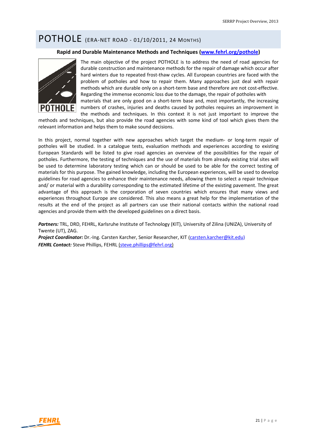# POTHOLE (ERA‐NET ROAD ‐ 01/10/2011, <sup>24</sup> MONTHS)

#### **Rapid and Durable Maintenance Methods and Techniques (www.fehrl.org/pothole)**



The main objective of the project POTHOLE is to address the need of road agencies for durable construction and maintenance methods for the repair of damage which occur after hard winters due to repeated frost‐thaw cycles. All European countries are faced with the problem of potholes and how to repair them. Many approaches just deal with repair methods which are durable only on a short-term base and therefore are not cost-effective. Regarding the immense economic loss due to the damage, the repair of potholes with materials that are only good on a short-term base and, most importantly, the increasing

numbers of crashes, injuries and deaths caused by potholes requires an improvement in the methods and techniques. In this context it is not just important to improve the

methods and techniques, but also provide the road agencies with some kind of tool which gives them the relevant information and helps them to make sound decisions.

In this project, normal together with new approaches which target the medium- or long-term repair of potholes will be studied. In a catalogue tests, evaluation methods and experiences according to existing European Standards will be listed to give road agencies an overview of the possibilities for the repair of potholes. Furthermore, the testing of techniques and the use of materials from already existing trial sites will be used to determine laboratory testing which can or should be used to be able for the correct testing of materials for this purpose. The gained knowledge, including the European experiences, will be used to develop guidelines for road agencies to enhance their maintenance needs, allowing them to select a repair technique and/ or material with a durability corresponding to the estimated lifetime of the existing pavement. The great advantage of this approach is the corporation of seven countries which ensures that many views and experiences throughout Europe are considered. This also means a great help for the implementation of the results at the end of the project as all partners can use their national contacts within the national road agencies and provide them with the developed guidelines on a direct basis.

*Partners:* TRL, DRD, FEHRL, Karlsruhe Institute of Technology (KIT), University of Zilina (UNIZA), University of Twente (UT), ZAG.

*Project Coordinator:* Dr.‐Ing. Carsten Karcher, Senior Researcher, KIT (carsten.karcher@kit.edu) *FEHRL Contact:* Steve Phillips, FEHRL (steve.phillips@fehrl.org)

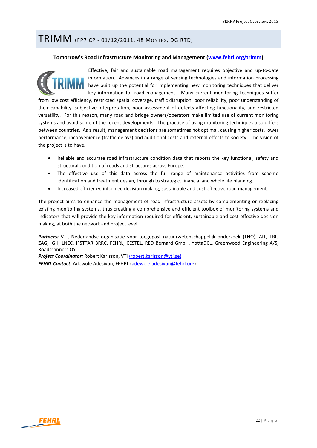### TRIMM (FP7 CP ‐ 01/12/2011, <sup>48</sup> MONTHS, DG RTD)

#### **Tomorrow's Road Infrastructure Monitoring and Management (www.fehrl.org/trimm)**



Effective, fair and sustainable road management requires objective and up‐to‐date information. Advances in a range of sensing technologies and information processing have built up the potential for implementing new monitoring techniques that deliver key information for road management. Many current monitoring techniques suffer

from low cost efficiency, restricted spatial coverage, traffic disruption, poor reliability, poor understanding of their capability, subjective interpretation, poor assessment of defects affecting functionality, and restricted versatility. For this reason, many road and bridge owners/operators make limited use of current monitoring systems and avoid some of the recent developments. The practice of using monitoring techniques also differs between countries. As a result, management decisions are sometimes not optimal, causing higher costs, lower performance, inconvenience (traffic delays) and additional costs and external effects to society. The vision of the project is to have.

- Reliable and accurate road infrastructure condition data that reports the key functional, safety and structural condition of roads and structures across Europe.
- The effective use of this data across the full range of maintenance activities from scheme identification and treatment design, through to strategic, financial and whole life planning.
- Increased efficiency, informed decision making, sustainable and cost effective road management.

The project aims to enhance the management of road infrastructure assets by complementing or replacing existing monitoring systems, thus creating a comprehensive and efficient toolbox of monitoring systems and indicators that will provide the key information required for efficient, sustainable and cost-effective decision making, at both the network and project level.

*Partners:* VTI, Nederlandse organisatie voor toegepast natuurwetenschappelijk onderzoek (TNO), AIT, TRL, ZAG, IGH, LNEC, IFSTTAR BRRC, FEHRL, CESTEL, RED Bernard GmbH, YottaDCL, Greenwood Engineering A/S, Roadscanners OY.

*Project Coordinator:* Robert Karlsson, VTI (robert.karlsson@vti.se) *FEHRL Contact:* Adewole Adesiyun, FEHRL (adewole.adesiyun@fehrl.org)

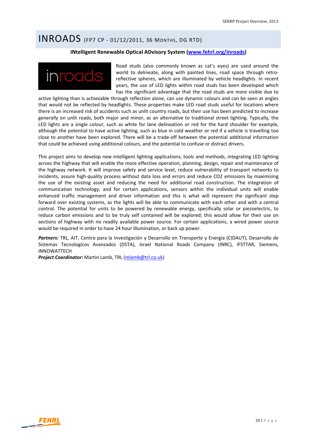### INROADS (FP7 CP ‐ 01/12/2011, <sup>36</sup> MONTHS, DG RTD)

#### **INtelligent Renewable Optical ADvisory System (www.fehrl.org/inroads)**



Road studs (also commonly known as cat's eyes) are used around the world to delineate, along with painted lines, road space through retroreflective spheres, which are illuminated by vehicle headlights. In recent years, the use of LED lights within road studs has been developed which has the significant advantage that the road studs are more visible due to

active lighting than is achievable through reflection alone, can use dynamic colours and can be seen at angles that would not be reflected by headlights. These properties make LED road studs useful for locations where there is an increased risk of accidents such as unlit country roads, but their use has been predicted to increase generally on unlit roads, both major and minor, as an alternative to traditional street lighting. Typically, the LED lights are a single colour, such as white for lane delineation or red for the hard shoulder for example, although the potential to have active lighting, such as blue in cold weather or red if a vehicle is travelling too close to another have been explored. There will be a trade‐off between the potential additional information that could be achieved using additional colours, and the potential to confuse or distract drivers.

This project aims to develop new intelligent lighting applications, tools and methods, integrating LED lighting across the highway that will enable the more effective operation, planning, design, repair and maintenance of the highway network. It will improve safety and service level, reduce vulnerability of transport networks to incidents, assure high-quality process without data loss and errors and reduce CO2 emissions by maximising the use of the existing asset and reducing the need for additional road construction. The integration of communication technology, and for certain applications, sensors within the individual units will enable enhanced traffic management and driver information and this is what will represent the significant step forward over existing systems, as the lights will be able to communicate with each other and with a central control. The potential for units to be powered by renewable energy, specifically solar or piezoelectric, to reduce carbon emissions and to be truly self contained will be explored; this would allow for their use on sections of highway with no readily available power source. For certain applications, a wired power source would be required in order to have 24 hour illumination, or back up power.

*Partners:* TRL, AIT, Centro para la Investigación y Desarrollo en Transporte y Energía (CIDAUT), Desarrollo de Sistemas Tecnologicos Avanzados (DSTA), Israel National Roads Company (INRC), IFSTTAR, Siemens, INNOWATTECH

*Project Coordinator:* Martin Lamb, TRL (mlamb@trl.co.uk)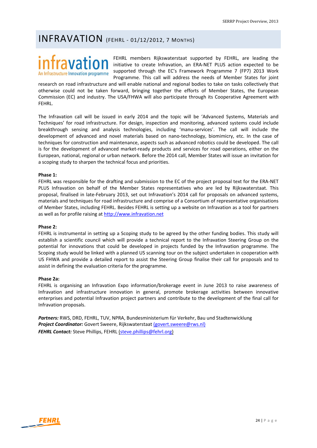### INFRAVATION (FEHRL ‐ 01/12/2012, <sup>7</sup> MONTHS)

# An Infrastructure Innovation programme

FEHRL members Rijkswaterstaat supported by FEHRL, are leading the initiative to create Infravation, an ERA‐NET PLUS action expected to be supported through the EC's Framework Programme 7 (FP7) 2013 Work Programme. This call will address the needs of Member States for joint

research on road infrastructure and will enable national and regional bodies to take on tasks collectively that otherwise could not be taken forward, bringing together the efforts of Member States, the European Commission (EC) and industry. The USA/FHWA will also participate through its Cooperative Agreement with FEHRL.

The Infravation call will be issued in early 2014 and the topic will be 'Advanced Systems, Materials and Techniques' for road infrastructure. For design, inspection and monitoring, advanced systems could include breakthrough sensing and analysis technologies, including 'manu‐services'. The call will include the development of advanced and novel materials based on nano-technology, biomimicry, etc. In the case of techniques for construction and maintenance, aspects such as advanced robotics could be developed. The call is for the development of advanced market-ready products and services for road operations, either on the European, national, regional or urban network. Before the 2014 call, Member States will issue an invitation for a scoping study to sharpen the technical focus and priorities.

#### **Phase 1:**

FEHRL was responsible for the drafting and submission to the EC of the project proposal text for the ERA‐NET PLUS Infravation on behalf of the Member States representatives who are led by Rijkswaterstaat. This proposal, finalised in late‐February 2013, set out Infravation's 2014 call for proposals on advanced systems, materials and techniques for road infrastructure and comprise of a Consortium of representative organisations of Member States, including FEHRL. Besides FEHRL is setting up a website on Infravation as a tool for partners as well as for profile raising at http://www.infravation.net

#### **Phase 2:**

FEHRL is instrumental in setting up a Scoping study to be agreed by the other funding bodies. This study will establish a scientific council which will provide a technical report to the Infravation Steering Group on the potential for innovations that could be developed in projects funded by the Infravation programme. The Scoping study would be linked with a planned US scanning tour on the subject undertaken in cooperation with US FHWA and provide a detailed report to assist the Steering Group finalise their call for proposals and to assist in defining the evaluation criteria for the programme.

#### **Phase 2a:**

FEHRL is organising an Infravation Expo information/brokerage event in June 2013 to raise awareness of Infravation and infrastructure innovation in general, promote brokerage activities between innovative enterprises and potential Infravation project partners and contribute to the development of the final call for Infravation proposals.

*Partners:* RWS, DRD, FEHRL, TUV, NPRA, Bundesministerium für Verkehr, Bau und Stadtenwicklung *Project Coordinator:* Govert Sweere, Rijkswaterstaat (govert.sweere@rws.nl) *FEHRL Contact:* Steve Phillips, FEHRL (steve.phillips@fehrl.org)

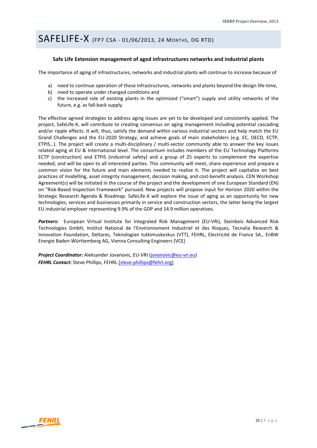# SAFELIFE‐X (FP7 CSA ‐ 01/06/2013, <sup>24</sup> MONTHS, DG RTD)

#### **Safe Life Extension management of aged infrastructures networks and industrial plants**

The importance of aging of infrastructures, networks and industrial plants will continue to increase because of

- a) need to continue operation of these infrastructures, networks and plants beyond the design life-time,
- b) need to operate under changed conditions and
- c) the increased role of existing plants in the optimized ("smart") supply and utility networks of the future, e.g. as fall‐back supply.

The effective agreed strategies to address aging issues are yet to be developed and consistently applied. The project, SafeLife‐X, will contribute to creating consensus on aging management including potential cascading and/or ripple effects. It will, thus, satisfy the demand within various industrial sectors and help match the EU Grand Challenges and the EU‐2020 Strategy, and achieve goals of main stakeholders (e.g. EC, OECD, ECTP, ETPIS...). The project will create a multi-disciplinary / multi-sector community able to answer the key issues related aging at EU & International level. The consortium includes members of the EU Technology Platforms ECTP (construction) and ETPIS (industrial safety) and a group of 25 experts to complement the expertise needed, and will be open to all interested parties. This community will meet, share experience and prepare a common vision for the future and main elements needed to realize it. The project will capitalize on best practices of modelling, asset integrity management, decision making, and cost-benefit analysis. CEN Workshop Agreement(s) will be initiated in the course of the project and the development of one European Standard (EN) on "Risk‐Based Inspection Framework" pursued. New projects will propose input for Horizon 2020 within the Strategic Research Agenda & Roadmap. SafeLife‐X will explore the issue of aging as an opportunity for new technologies, services and businesses primarily in service and construction sectors, the latter being the largest EU industrial employer representing 9.9% of the GDP and 14.9 million operatives.

Partners: European Virtual Institute for Integrated Risk Management (EU-VRi), Steinbeis Advanced Risk Technologies GmbH, Institut National de l'Environnement Industriel et des Risques, Tecnalia Research & Innovation Foundation, Deltares, Teknologian tutkimuskeskus (VTT), FEHRL, Electricité de France SA., EnBW Energie Baden‐Württemberg AG, Vienna Consulting Engineers (VCE)

*Project Coordinator:* Aleksander Jovanovic, EU‐VRI (jovanovic@eu‐vri.eu) *FEHRL Contact:* Steve Phillips, FEHRL (steve.phillips@fehrl.org)

**FEHRL**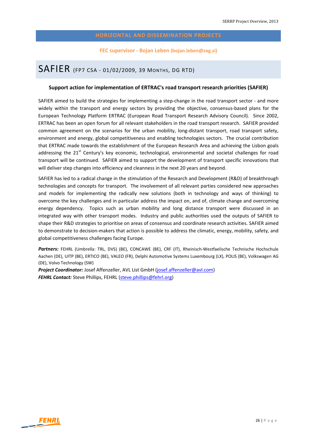#### **FEC supervisor ‐ Bojan Leben (bojan.leben@zag.si)**

### SAFIER (FP7 CSA ‐ 01/02/2009, <sup>39</sup> MONTHS, DG RTD)

#### **Support action for implementation of ERTRAC's road transport research priorities (SAFIER)**

SAFIER aimed to build the strategies for implementing a step-change in the road transport sector - and more widely within the transport and energy sectors by providing the objective, consensus‐based plans for the European Technology Platform ERTRAC (European Road Transport Research Advisory Council). Since 2002, ERTRAC has been an open forum for all relevant stakeholders in the road transport research. SAFIER provided common agreement on the scenarios for the urban mobility, long-distant transport, road transport safety, environment and energy, global competitiveness and enabling technologies sectors. The crucial contribution that ERTRAC made towards the establishment of the European Research Area and achieving the Lisbon goals addressing the 21<sup>st</sup> Century's key economic, technological, environmental and societal challenges for road transport will be continued. SAFIER aimed to support the development of transport specific innovations that will deliver step changes into efficiency and cleanness in the next 20 years and beyond.

SAFIER has led to a radical change in the stimulation of the Research and Development (R&D) of breakthrough technologies and concepts for transport. The involvement of all relevant parties considered new approaches and models for implementing the radically new solutions (both in technology and ways of thinking) to overcome the key challenges and in particular address the impact on, and of, climate change and overcoming energy dependency. Topics such as urban mobility and long distance transport were discussed in an integrated way with other transport modes. Industry and public authorities used the outputs of SAFIER to shape their R&D strategies to prioritise on areas of consensus and coordinate research activities. SAFIER aimed to demonstrate to decision-makers that action is possible to address the climatic, energy, mobility, safety, and global competitiveness challenges facing Europe.

*Partners:* FEHRL (Umbrella: TRL, DVS) (BE), CONCAWE (BE), CRF (IT), Rheinisch‐Westfaelische Technische Hochschule Aachen (DE), UITP (BE), ERTICO (BE), VALEO (FR), Delphi Automotive Systems Luxembourg (LX), POLIS (BE), Volkswagen AG (DE), Volvo Technology (SW)

*Project Coordinator:* Josef Affenzeller, AVL List GmbH (josef.affenzeller@avl.com) *FEHRL Contact:* Steve Phillips, FEHRL (steve.phillips@fehrl.org)

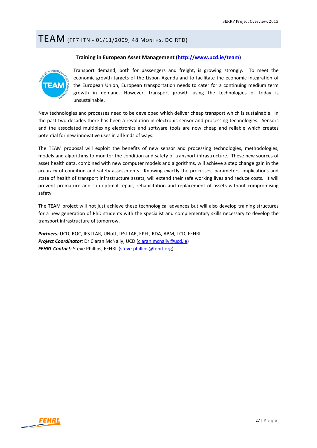### TEAM (FP7 ITN ‐ 01/11/2009, <sup>48</sup> MONTHS, DG RTD)

#### **Training in European Asset Management (http://www.ucd.ie/team)**



Transport demand, both for passengers and freight, is growing strongly. To meet the economic growth targets of the Lisbon Agenda and to facilitate the economic integration of the European Union, European transportation needs to cater for a continuing medium term growth in demand. However, transport growth using the technologies of today is unsustainable.

New technologies and processes need to be developed which deliver cheap transport which is sustainable. In the past two decades there has been a revolution in electronic sensor and processing technologies. Sensors and the associated multiplexing electronics and software tools are now cheap and reliable which creates potential for new innovative uses in all kinds of ways.

The TEAM proposal will exploit the benefits of new sensor and processing technologies, methodologies, models and algorithms to monitor the condition and safety of transport infrastructure. These new sources of asset health data, combined with new computer models and algorithms, will achieve a step change gain in the accuracy of condition and safety assessments. Knowing exactly the processes, parameters, implications and state of health of transport infrastructure assets, will extend their safe working lives and reduce costs. It will prevent premature and sub‐optimal repair, rehabilitation and replacement of assets without compromising safety.

The TEAM project will not just achieve these technological advances but will also develop training structures for a new generation of PhD students with the specialist and complementary skills necessary to develop the transport infrastructure of tomorrow.

*Partners:* UCD, ROC, IFSTTAR, UNott, IFSTTAR, EPFL, RDA, ABM, TCD, FEHRL *Project Coordinator:* Dr Ciaran McNally, UCD (ciaran.mcnally@ucd.ie) *FEHRL Contact:* Steve Phillips, FEHRL (steve.phillips@fehrl.org)

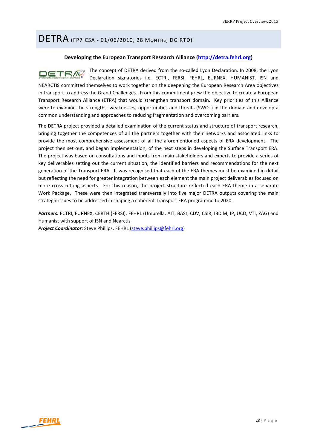### DETRA (FP7 CSA ‐ 01/06/2010, <sup>28</sup> MONTHS, DG RTD)

#### **Developing the European Transport Research Alliance (http://detra.fehrl.org)**

The concept of DETRA derived from the so-called Lyon Declaration. In 2008, the Lyon **DETRA** Declaration signatories i.e. ECTRI, FERSI, FEHRL, EURNEX, HUMANIST, ISN and NEARCTIS committed themselves to work together on the deepening the European Research Area objectives in transport to address the Grand Challenges. From this commitment grew the objective to create a European Transport Research Alliance (ETRA) that would strengthen transport domain. Key priorities of this Alliance were to examine the strengths, weaknesses, opportunities and threats (SWOT) in the domain and develop a common understanding and approaches to reducing fragmentation and overcoming barriers.

The DETRA project provided a detailed examination of the current status and structure of transport research, bringing together the competences of all the partners together with their networks and associated links to provide the most comprehensive assessment of all the aforementioned aspects of ERA development. The project then set out, and began implementation, of the next steps in developing the Surface Transport ERA. The project was based on consultations and inputs from main stakeholders and experts to provide a series of key deliverables setting out the current situation, the identified barriers and recommendations for the next generation of the Transport ERA. It was recognised that each of the ERA themes must be examined in detail but reflecting the need for greater integration between each element the main project deliverables focused on more cross-cutting aspects. For this reason, the project structure reflected each ERA theme in a separate Work Package. These were then integrated transversally into five major DETRA outputs covering the main strategic issues to be addressed in shaping a coherent Transport ERA programme to 2020.

*Partners:* ECTRI, EURNEX, CERTH (FERSI), FEHRL (Umbrella: AIT, BASt, CDV, CSIR, IBDiM, IP, UCD, VTI, ZAG) and Humanist with support of ISN and Nearctis *Project Coordinator:* Steve Phillips, FEHRL (steve.phillips@fehrl.org)

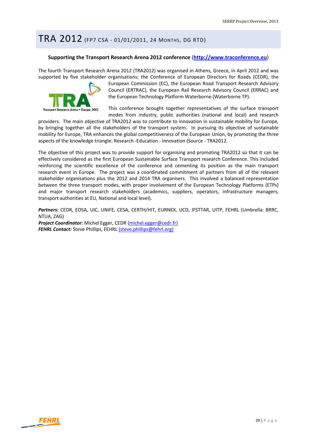### TRA 2012 (FP7 CSA ‐ 01/01/2011, <sup>24</sup> MONTHS, DG RTD)

#### **Supporting the Transport Research Arena 2012 conference** (**http://www.traconference.eu**)

The fourth Transport Research Arena 2012 (TRA2012) was organised in Athens, Greece, in April 2012 and was supported by five stakeholder organisations; the Conference of European Directors for Roads (CEDR), the



European Commission (EC), the European Road Transport Research Advisory Council (ERTRAC), the European Rail Research Advisory Council (ERRAC) and the European Technology Platform Waterborne (Waterborne TP).

This conference brought together representatives of the surface transport modes from industry, public authorities (national and local) and research

providers. The main objective of TRA2012 was to contribute to innovation in sustainable mobility for Europe, by bringing together all the stakeholders of the transport system. In pursuing its objective of sustainable mobility for Europe, TRA enhances the global competitiveness of the European Union, by promoting the three aspects of the knowledge triangle: Research ‐Education ‐ Innovation (Source ‐ TRA2012.

The objective of this project was to provide support for organising and promoting TRA2012 so that it can be effectively considered as the first European Sustainable Surface Transport research Conference. This included reinforcing the scientific excellence of the conference and cementing its position as the main transport research event in Europe. The project was a coordinated commitment of partners from all of the relevant stakeholder organisations plus the 2012 and 2014 TRA organisers. This involved a balanced representation between the three transport modes, with proper involvement of the European Technology Platforms (ETPs) and major transport research stakeholders (academics, suppliers, operators, infrastructure managers, transport authorities at EU, National and local level).

*Partners:* CEDR, EOSA, UIC, UNIFE, CESA, CERTH/HIT, EURNEX, UCD, IFSTTAR, UITP, FEHRL (Umbrella: BRRC, NTUA, ZAG)

*Project Coordinator:* Michel Egger, CEDR (michel.egger@cedr.fr) *FEHRL Contact:* Steve Phillips, FEHRL (steve.phillips@fehrl.org)

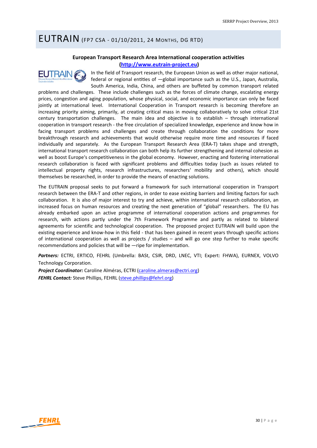### EUTRAIN (FP7 CSA ‐ 01/10/2011, <sup>24</sup> MONTHS, DG RTD)

### **European Transport Research Area International cooperation activities (http://www.eutrain‐project.eu)**



In the field of Transport research, the European Union as well as other major national, federal or regional entities of  $-g$ lobal importance such as the U.S., Japan, Australia, South America, India, China, and others are buffeted by common transport related

problems and challenges. These include challenges such as the forces of climate change, escalating energy prices, congestion and aging population, whose physical, social, and economic importance can only be faced jointly at international level. International Cooperation in Transport research is becoming therefore an increasing priority aiming, primarily, at creating critical mass in moving collaboratively to solve critical 21st century transportation challenges. The main idea and objective is to establish – through international cooperation in transport research ‐ the free circulation of specialized knowledge, experience and know how in facing transport problems and challenges and create through collaboration the conditions for more breakthrough research and achievements that would otherwise require more time and resources if faced individually and separately. As the European Transport Research Area (ERA-T) takes shape and strength, international transport research collaboration can both help its further strengthening and internal cohesion as well as boost Europe's competitiveness in the global economy. However, enacting and fostering international research collaboration is faced with significant problems and difficulties today (such as issues related to intellectual property rights, research infrastructures, researchers' mobility and others), which should themselves be researched, in order to provide the means of enacting solutions.

The EUTRAIN proposal seeks to put forward a framework for such international cooperation in Transport research between the ERA‐T and other regions, in order to ease existing barriers and limiting factors for such collaboration. It is also of major interest to try and achieve, within international research collaboration, an increased focus on human resources and creating the next generation of "global" researchers. The EU has already embarked upon an active programme of international cooperation actions and programmes for research, with actions partly under the 7th Framework Programme and partly as related to bilateral agreements for scientific and technological cooperation. The proposed project EUTRAIN will build upon the existing experience and know‐how in this field ‐ that has been gained in recent years through specific actions of international cooperation as well as projects / studies – and will go one step further to make specific recommendations and policies that will be —ripe for implementation.

Partners: ECTRI, ERTICO, FEHRL (Umbrella: BASt, CSIR, DRD, LNEC, VTI; Expert: FHWA), EURNEX, VOLVO Technology Corporation.

*Project Coordinator:* Caroline Alméras, ECTRI (caroline.almeras@ectri.org) *FEHRL Contact:* Steve Phillips, FEHRL (steve.phillips@fehrl.org)

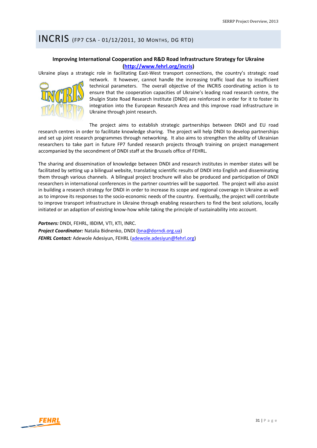### INCRIS (FP7 CSA ‐ 01/12/2011, <sup>30</sup> MONTHS, DG RTD)

### **Improving International Cooperation and R&D Road Infrastructure Strategy for Ukraine (http://www.fehrl.org/incris)**

Ukraine plays a strategic role in facilitating East‐West transport connections, the country's strategic road



network. It however, cannot handle the increasing traffic load due to insufficient technical parameters. The overall objective of the INCRIS coordinating action is to ensure that the cooperation capacities of Ukraine's leading road research centre, the Shulgin State Road Research Institute (DNDI) are reinforced in order for it to foster its integration into the European Research Area and this improve road infrastructure in Ukraine through joint research.

The project aims to establish strategic partnerships between DNDI and EU road research centres in order to facilitate knowledge sharing. The project will help DNDI to develop partnerships and set up joint research programmes through networking. It also aims to strengthen the ability of Ukrainian researchers to take part in future FP7 funded research projects through training on project management accompanied by the secondment of DNDI staff at the Brussels office of FEHRL.

The sharing and dissemination of knowledge between DNDI and research institutes in member states will be facilitated by setting up a bilingual website, translating scientific results of DNDI into English and disseminating them through various channels. A bilingual project brochure will also be produced and participation of DNDI researchers in international conferences in the partner countries will be supported. The project will also assist in building a research strategy for DNDI in order to increase its scope and regional coverage in Ukraine as well as to improve its responses to the socio‐economic needs of the country. Eventually, the project will contribute to improve transport infrastructure in Ukraine through enabling researchers to find the best solutions, locally initiated or an adaption of existing know-how while taking the principle of sustainability into account.

*Partners:* DNDI, FEHRL, IBDIM, VTI, KTI, INRC. *Project Coordinator:* Natalia Bidnenko, DNDI (bna@dorndi.org.ua) *FEHRL Contact:* Adewole Adesiyun, FEHRL (adewole.adesiyun@fehrl.org)

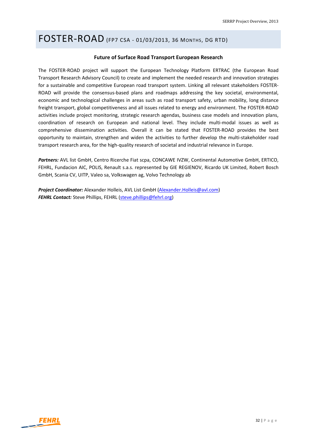### FOSTER‐ROAD (FP7 CSA ‐ 01/03/2013, <sup>36</sup> MONTHS, DG RTD)

#### **Future of Surface Road Transport European Research**

The FOSTER‐ROAD project will support the European Technology Platform ERTRAC (the European Road Transport Research Advisory Council) to create and implement the needed research and innovation strategies for a sustainable and competitive European road transport system. Linking all relevant stakeholders FOSTER‐ ROAD will provide the consensus-based plans and roadmaps addressing the key societal, environmental, economic and technological challenges in areas such as road transport safety, urban mobility, long distance freight transport, global competitiveness and all issues related to energy and environment. The FOSTER‐ROAD activities include project monitoring, strategic research agendas, business case models and innovation plans, coordination of research on European and national level. They include multi-modal issues as well as comprehensive dissemination activities. Overall it can be stated that FOSTER‐ROAD provides the best opportunity to maintain, strengthen and widen the activities to further develop the multi‐stakeholder road transport research area, for the high‐quality research of societal and industrial relevance in Europe.

*Partners:* AVL list GmbH, Centro Ricerche Fiat scpa, CONCAWE IVZW, Continental Automotive GmbH, ERTICO, FEHRL, Fundacion AIC, POLIS, Renault s.a.s. represented by GIE REGIENOV, Ricardo UK Limited, Robert Bosch GmbH, Scania CV, UITP, Valeo sa, Volkswagen ag, Volvo Technology ab

*Project Coordinator:* Alexander Holleis, AVL List GmbH (Alexander.Holleis@avl.com) *FEHRL Contact:* Steve Phillips, FEHRL (steve.phillips@fehrl.org)

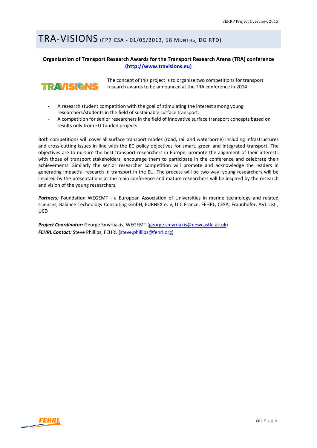# TRA‐VISIONS (FP7 CSA ‐ 01/05/2013, <sup>18</sup> MONTHS, DG RTD)

### **Organisation of Transport Research Awards for the Transport Research Arena (TRA) conference (http://www.travisions.eu)**



The concept of this project is to organise two competitions for transport research awards to be announced at the TRA conference in 2014:

- ‐ A research student competition with the goal of stimulating the interest among young researchers/students in the field of sustainable surface transport.
- ‐ A competition for senior researchers in the field of innovative surface transport concepts based on results only from EU‐funded projects.

Both competitions will cover all surface transport modes (road, rail and waterborne) including Infrastructures and cross‐cutting issues in line with the EC policy objectives for smart, green and integrated transport. The objectives are to nurture the best transport researchers in Europe, promote the alignment of their interests with those of transport stakeholders, encourage them to participate in the conference and celebrate their achievements. Similarly the senior researcher competition will promote and acknowledge the leaders in generating impactful research in transport in the EU. The process will be two-way: young researchers will be inspired by the presentations at the main conference and mature researchers will be inspired by the research and vision of the young researchers.

Partners: Foundation WEGEMT - a European Association of Universities in marine technology and related sciences, Balance Technology Consulting GmbH, EURNEX e. v, UIC France, FEHRL, CESA, Fraunhofer, AVL List, UCD

*Project Coordinator:* George Smyrnakis, WEGEMT (george.smyrnakis@newcastle.ac.uk) *FEHRL Contact:* Steve Phillips, FEHRL (steve.phillips@fehrl.org)